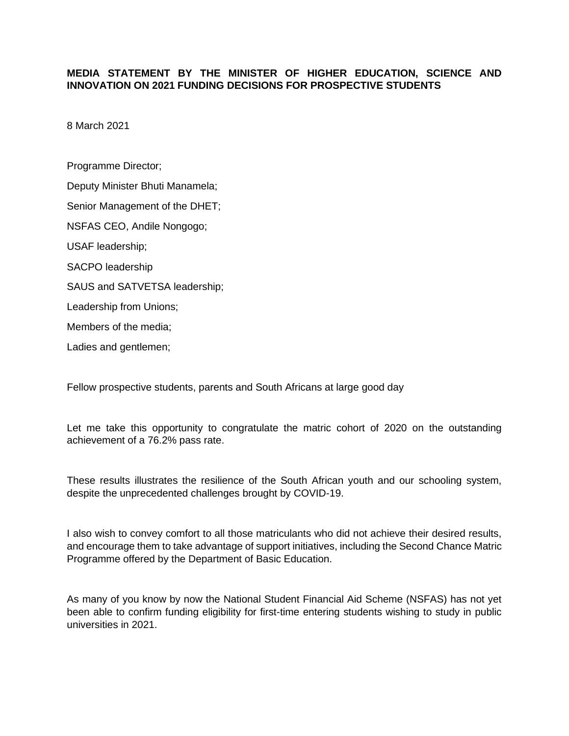## **MEDIA STATEMENT BY THE MINISTER OF HIGHER EDUCATION, SCIENCE AND INNOVATION ON 2021 FUNDING DECISIONS FOR PROSPECTIVE STUDENTS**

8 March 2021

Programme Director; Deputy Minister Bhuti Manamela; Senior Management of the DHET; NSFAS CEO, Andile Nongogo; USAF leadership; SACPO leadership SAUS and SATVETSA leadership; Leadership from Unions; Members of the media; Ladies and gentlemen;

Fellow prospective students, parents and South Africans at large good day

Let me take this opportunity to congratulate the matric cohort of 2020 on the outstanding achievement of a 76.2% pass rate.

These results illustrates the resilience of the South African youth and our schooling system, despite the unprecedented challenges brought by COVID-19.

I also wish to convey comfort to all those matriculants who did not achieve their desired results, and encourage them to take advantage of support initiatives, including the Second Chance Matric Programme offered by the Department of Basic Education.

As many of you know by now the National Student Financial Aid Scheme (NSFAS) has not yet been able to confirm funding eligibility for first-time entering students wishing to study in public universities in 2021.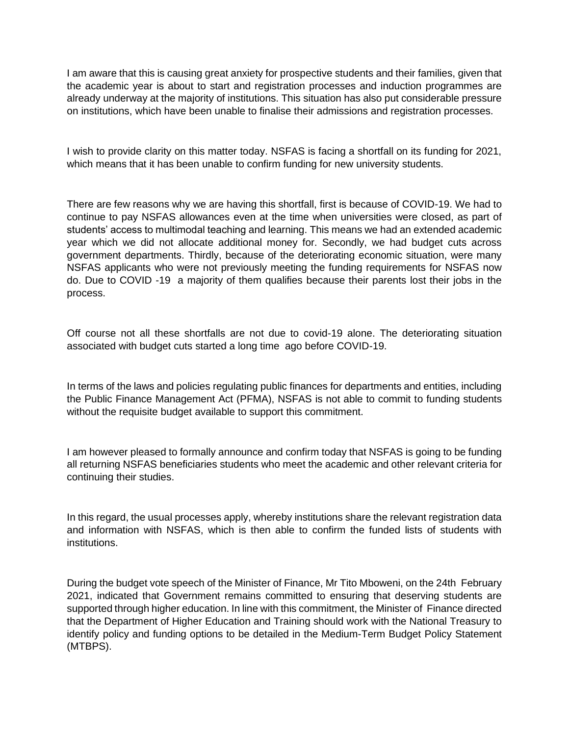I am aware that this is causing great anxiety for prospective students and their families, given that the academic year is about to start and registration processes and induction programmes are already underway at the majority of institutions. This situation has also put considerable pressure on institutions, which have been unable to finalise their admissions and registration processes.

I wish to provide clarity on this matter today. NSFAS is facing a shortfall on its funding for 2021, which means that it has been unable to confirm funding for new university students.

There are few reasons why we are having this shortfall, first is because of COVID-19. We had to continue to pay NSFAS allowances even at the time when universities were closed, as part of students' access to multimodal teaching and learning. This means we had an extended academic year which we did not allocate additional money for. Secondly, we had budget cuts across government departments. Thirdly, because of the deteriorating economic situation, were many NSFAS applicants who were not previously meeting the funding requirements for NSFAS now do. Due to COVID -19 a majority of them qualifies because their parents lost their jobs in the process.

Off course not all these shortfalls are not due to covid-19 alone. The deteriorating situation associated with budget cuts started a long time ago before COVID-19.

In terms of the laws and policies regulating public finances for departments and entities, including the Public Finance Management Act (PFMA), NSFAS is not able to commit to funding students without the requisite budget available to support this commitment.

I am however pleased to formally announce and confirm today that NSFAS is going to be funding all returning NSFAS beneficiaries students who meet the academic and other relevant criteria for continuing their studies.

In this regard, the usual processes apply, whereby institutions share the relevant registration data and information with NSFAS, which is then able to confirm the funded lists of students with institutions.

During the budget vote speech of the Minister of Finance, Mr Tito Mboweni, on the 24th February 2021, indicated that Government remains committed to ensuring that deserving students are supported through higher education. In line with this commitment, the Minister of Finance directed that the Department of Higher Education and Training should work with the National Treasury to identify policy and funding options to be detailed in the Medium-Term Budget Policy Statement (MTBPS).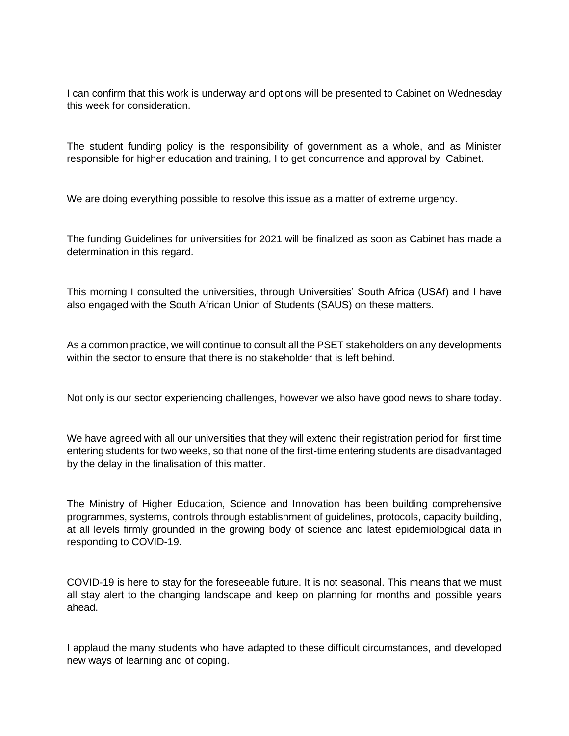I can confirm that this work is underway and options will be presented to Cabinet on Wednesday this week for consideration.

The student funding policy is the responsibility of government as a whole, and as Minister responsible for higher education and training, I to get concurrence and approval by Cabinet.

We are doing everything possible to resolve this issue as a matter of extreme urgency.

The funding Guidelines for universities for 2021 will be finalized as soon as Cabinet has made a determination in this regard.

This morning I consulted the universities, through Universities' South Africa (USAf) and I have also engaged with the South African Union of Students (SAUS) on these matters.

As a common practice, we will continue to consult all the PSET stakeholders on any developments within the sector to ensure that there is no stakeholder that is left behind.

Not only is our sector experiencing challenges, however we also have good news to share today.

We have agreed with all our universities that they will extend their registration period for first time entering students for two weeks, so that none of the first-time entering students are disadvantaged by the delay in the finalisation of this matter.

The Ministry of Higher Education, Science and Innovation has been building comprehensive programmes, systems, controls through establishment of guidelines, protocols, capacity building, at all levels firmly grounded in the growing body of science and latest epidemiological data in responding to COVID-19.

COVID-19 is here to stay for the foreseeable future. It is not seasonal. This means that we must all stay alert to the changing landscape and keep on planning for months and possible years ahead.

I applaud the many students who have adapted to these difficult circumstances, and developed new ways of learning and of coping.